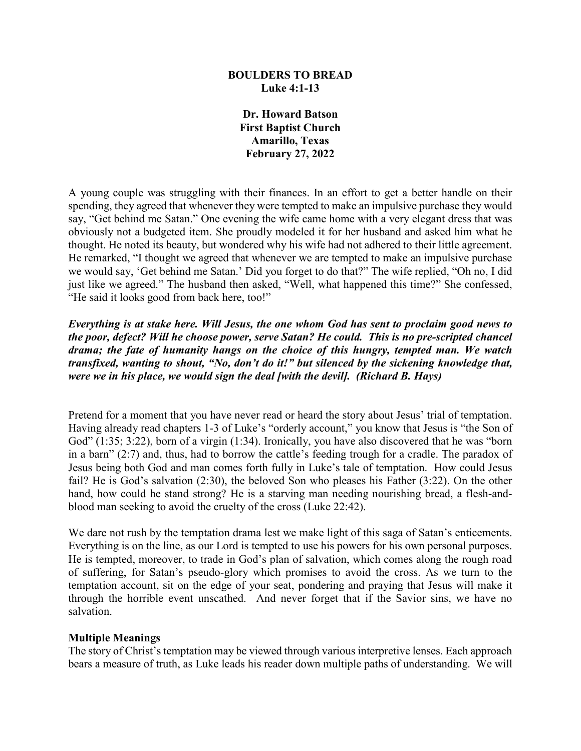#### **BOULDERS TO BREAD Luke 4:1-13**

**Dr. Howard Batson First Baptist Church Amarillo, Texas February 27, 2022**

A young couple was struggling with their finances. In an effort to get a better handle on their spending, they agreed that whenever they were tempted to make an impulsive purchase they would say, "Get behind me Satan." One evening the wife came home with a very elegant dress that was obviously not a budgeted item. She proudly modeled it for her husband and asked him what he thought. He noted its beauty, but wondered why his wife had not adhered to their little agreement. He remarked, "I thought we agreed that whenever we are tempted to make an impulsive purchase we would say, 'Get behind me Satan.' Did you forget to do that?" The wife replied, "Oh no, I did just like we agreed." The husband then asked, "Well, what happened this time?" She confessed, "He said it looks good from back here, too!"

*Everything is at stake here. Will Jesus, the one whom God has sent to proclaim good news to the poor, defect? Will he choose power, serve Satan? He could. This is no pre-scripted chancel drama; the fate of humanity hangs on the choice of this hungry, tempted man. We watch transfixed, wanting to shout, "No, don't do it!" but silenced by the sickening knowledge that, were we in his place, we would sign the deal [with the devil]. (Richard B. Hays)*

Pretend for a moment that you have never read or heard the story about Jesus' trial of temptation. Having already read chapters 1-3 of Luke's "orderly account," you know that Jesus is "the Son of God" (1:35; 3:22), born of a virgin (1:34). Ironically, you have also discovered that he was "born in a barn" (2:7) and, thus, had to borrow the cattle's feeding trough for a cradle. The paradox of Jesus being both God and man comes forth fully in Luke's tale of temptation. How could Jesus fail? He is God's salvation (2:30), the beloved Son who pleases his Father (3:22). On the other hand, how could he stand strong? He is a starving man needing nourishing bread, a flesh-andblood man seeking to avoid the cruelty of the cross (Luke 22:42).

We dare not rush by the temptation drama lest we make light of this saga of Satan's enticements. Everything is on the line, as our Lord is tempted to use his powers for his own personal purposes. He is tempted, moreover, to trade in God's plan of salvation, which comes along the rough road of suffering, for Satan's pseudo-glory which promises to avoid the cross. As we turn to the temptation account, sit on the edge of your seat, pondering and praying that Jesus will make it through the horrible event unscathed. And never forget that if the Savior sins, we have no salvation.

#### **Multiple Meanings**

The story of Christ's temptation may be viewed through various interpretive lenses. Each approach bears a measure of truth, as Luke leads his reader down multiple paths of understanding. We will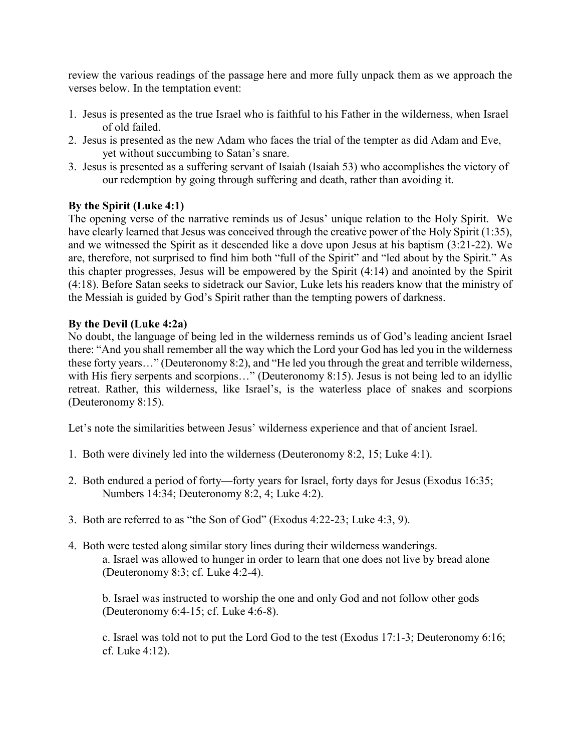review the various readings of the passage here and more fully unpack them as we approach the verses below. In the temptation event:

- 1. Jesus is presented as the true Israel who is faithful to his Father in the wilderness, when Israel of old failed.
- 2. Jesus is presented as the new Adam who faces the trial of the tempter as did Adam and Eve, yet without succumbing to Satan's snare.
- 3. Jesus is presented as a suffering servant of Isaiah (Isaiah 53) who accomplishes the victory of our redemption by going through suffering and death, rather than avoiding it.

## **By the Spirit (Luke 4:1)**

The opening verse of the narrative reminds us of Jesus' unique relation to the Holy Spirit. We have clearly learned that Jesus was conceived through the creative power of the Holy Spirit (1:35), and we witnessed the Spirit as it descended like a dove upon Jesus at his baptism (3:21-22). We are, therefore, not surprised to find him both "full of the Spirit" and "led about by the Spirit." As this chapter progresses, Jesus will be empowered by the Spirit (4:14) and anointed by the Spirit (4:18). Before Satan seeks to sidetrack our Savior, Luke lets his readers know that the ministry of the Messiah is guided by God's Spirit rather than the tempting powers of darkness.

# **By the Devil (Luke 4:2a)**

No doubt, the language of being led in the wilderness reminds us of God's leading ancient Israel there: "And you shall remember all the way which the Lord your God has led you in the wilderness these forty years…" (Deuteronomy 8:2), and "He led you through the great and terrible wilderness, with His fiery serpents and scorpions..." (Deuteronomy 8:15). Jesus is not being led to an idyllic retreat. Rather, this wilderness, like Israel's, is the waterless place of snakes and scorpions (Deuteronomy 8:15).

Let's note the similarities between Jesus' wilderness experience and that of ancient Israel.

- 1. Both were divinely led into the wilderness (Deuteronomy 8:2, 15; Luke 4:1).
- 2. Both endured a period of forty—forty years for Israel, forty days for Jesus (Exodus 16:35; Numbers 14:34; Deuteronomy 8:2, 4; Luke 4:2).
- 3. Both are referred to as "the Son of God" (Exodus 4:22-23; Luke 4:3, 9).
- 4. Both were tested along similar story lines during their wilderness wanderings. a. Israel was allowed to hunger in order to learn that one does not live by bread alone (Deuteronomy 8:3; cf. Luke 4:2-4).

b. Israel was instructed to worship the one and only God and not follow other gods (Deuteronomy 6:4-15; cf. Luke 4:6-8).

c. Israel was told not to put the Lord God to the test (Exodus 17:1-3; Deuteronomy 6:16; cf. Luke 4:12).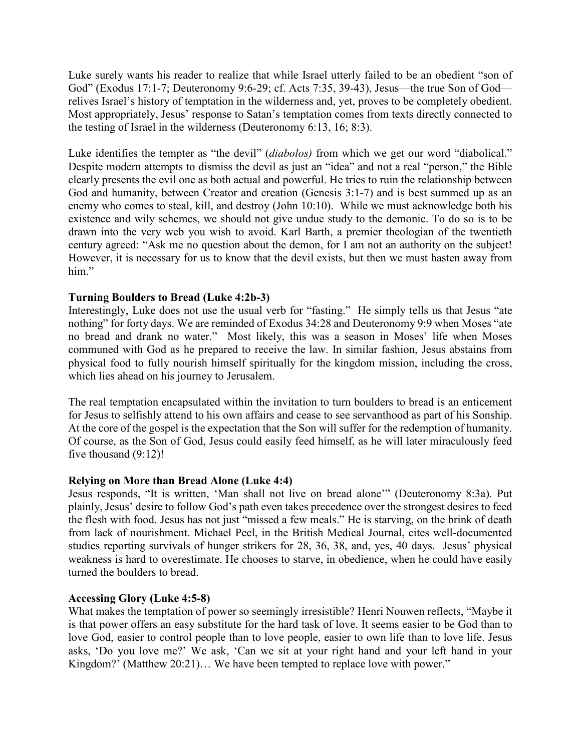Luke surely wants his reader to realize that while Israel utterly failed to be an obedient "son of God" (Exodus 17:1-7; Deuteronomy 9:6-29; cf. Acts 7:35, 39-43), Jesus—the true Son of God relives Israel's history of temptation in the wilderness and, yet, proves to be completely obedient. Most appropriately, Jesus' response to Satan's temptation comes from texts directly connected to the testing of Israel in the wilderness (Deuteronomy 6:13, 16; 8:3).

Luke identifies the tempter as "the devil" (*diabolos)* from which we get our word "diabolical." Despite modern attempts to dismiss the devil as just an "idea" and not a real "person," the Bible clearly presents the evil one as both actual and powerful. He tries to ruin the relationship between God and humanity, between Creator and creation (Genesis 3:1-7) and is best summed up as an enemy who comes to steal, kill, and destroy (John 10:10). While we must acknowledge both his existence and wily schemes, we should not give undue study to the demonic. To do so is to be drawn into the very web you wish to avoid. Karl Barth, a premier theologian of the twentieth century agreed: "Ask me no question about the demon, for I am not an authority on the subject! However, it is necessary for us to know that the devil exists, but then we must hasten away from him."

#### **Turning Boulders to Bread (Luke 4:2b-3)**

Interestingly, Luke does not use the usual verb for "fasting." He simply tells us that Jesus "ate nothing" for forty days. We are reminded of Exodus 34:28 and Deuteronomy 9:9 when Moses "ate no bread and drank no water." Most likely, this was a season in Moses' life when Moses communed with God as he prepared to receive the law. In similar fashion, Jesus abstains from physical food to fully nourish himself spiritually for the kingdom mission, including the cross, which lies ahead on his journey to Jerusalem.

The real temptation encapsulated within the invitation to turn boulders to bread is an enticement for Jesus to selfishly attend to his own affairs and cease to see servanthood as part of his Sonship. At the core of the gospel is the expectation that the Son will suffer for the redemption of humanity. Of course, as the Son of God, Jesus could easily feed himself, as he will later miraculously feed five thousand (9:12)!

#### **Relying on More than Bread Alone (Luke 4:4)**

Jesus responds, "It is written, 'Man shall not live on bread alone'" (Deuteronomy 8:3a). Put plainly, Jesus' desire to follow God's path even takes precedence over the strongest desires to feed the flesh with food. Jesus has not just "missed a few meals." He is starving, on the brink of death from lack of nourishment. Michael Peel, in the British Medical Journal, cites well-documented studies reporting survivals of hunger strikers for 28, 36, 38, and, yes, 40 days. Jesus' physical weakness is hard to overestimate. He chooses to starve, in obedience, when he could have easily turned the boulders to bread.

#### **Accessing Glory (Luke 4:5-8)**

What makes the temptation of power so seemingly irresistible? Henri Nouwen reflects, "Maybe it is that power offers an easy substitute for the hard task of love. It seems easier to be God than to love God, easier to control people than to love people, easier to own life than to love life. Jesus asks, 'Do you love me?' We ask, 'Can we sit at your right hand and your left hand in your Kingdom?' (Matthew 20:21)... We have been tempted to replace love with power."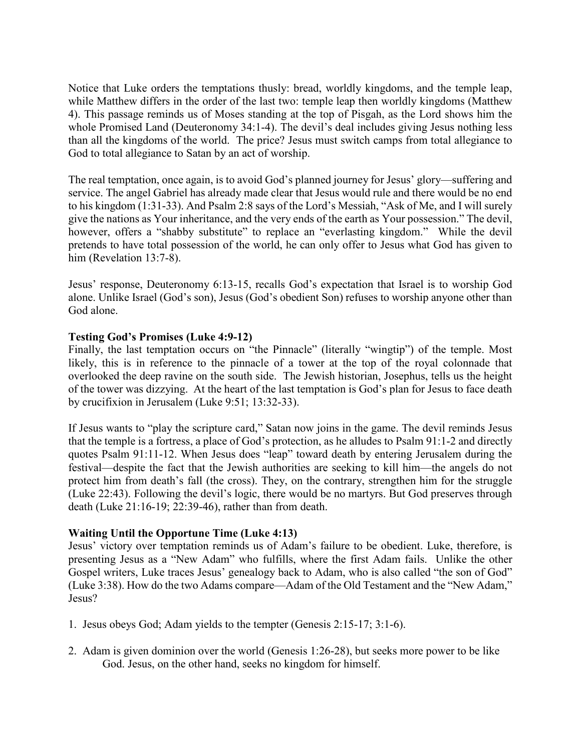Notice that Luke orders the temptations thusly: bread, worldly kingdoms, and the temple leap, while Matthew differs in the order of the last two: temple leap then worldly kingdoms (Matthew 4). This passage reminds us of Moses standing at the top of Pisgah, as the Lord shows him the whole Promised Land (Deuteronomy 34:1-4). The devil's deal includes giving Jesus nothing less than all the kingdoms of the world. The price? Jesus must switch camps from total allegiance to God to total allegiance to Satan by an act of worship.

The real temptation, once again, is to avoid God's planned journey for Jesus' glory—suffering and service. The angel Gabriel has already made clear that Jesus would rule and there would be no end to his kingdom (1:31-33). And Psalm 2:8 says of the Lord's Messiah, "Ask of Me, and I will surely give the nations as Your inheritance, and the very ends of the earth as Your possession." The devil, however, offers a "shabby substitute" to replace an "everlasting kingdom." While the devil pretends to have total possession of the world, he can only offer to Jesus what God has given to him (Revelation 13:7-8).

Jesus' response, Deuteronomy 6:13-15, recalls God's expectation that Israel is to worship God alone. Unlike Israel (God's son), Jesus (God's obedient Son) refuses to worship anyone other than God alone.

## **Testing God's Promises (Luke 4:9-12)**

Finally, the last temptation occurs on "the Pinnacle" (literally "wingtip") of the temple. Most likely, this is in reference to the pinnacle of a tower at the top of the royal colonnade that overlooked the deep ravine on the south side. The Jewish historian, Josephus, tells us the height of the tower was dizzying. At the heart of the last temptation is God's plan for Jesus to face death by crucifixion in Jerusalem (Luke 9:51; 13:32-33).

If Jesus wants to "play the scripture card," Satan now joins in the game. The devil reminds Jesus that the temple is a fortress, a place of God's protection, as he alludes to Psalm 91:1-2 and directly quotes Psalm 91:11-12. When Jesus does "leap" toward death by entering Jerusalem during the festival—despite the fact that the Jewish authorities are seeking to kill him—the angels do not protect him from death's fall (the cross). They, on the contrary, strengthen him for the struggle (Luke 22:43). Following the devil's logic, there would be no martyrs. But God preserves through death (Luke 21:16-19; 22:39-46), rather than from death.

#### **Waiting Until the Opportune Time (Luke 4:13)**

Jesus' victory over temptation reminds us of Adam's failure to be obedient. Luke, therefore, is presenting Jesus as a "New Adam" who fulfills, where the first Adam fails. Unlike the other Gospel writers, Luke traces Jesus' genealogy back to Adam, who is also called "the son of God" (Luke 3:38). How do the two Adams compare—Adam of the Old Testament and the "New Adam," Jesus?

- 1. Jesus obeys God; Adam yields to the tempter (Genesis 2:15-17; 3:1-6).
- 2. Adam is given dominion over the world (Genesis 1:26-28), but seeks more power to be like God. Jesus, on the other hand, seeks no kingdom for himself.